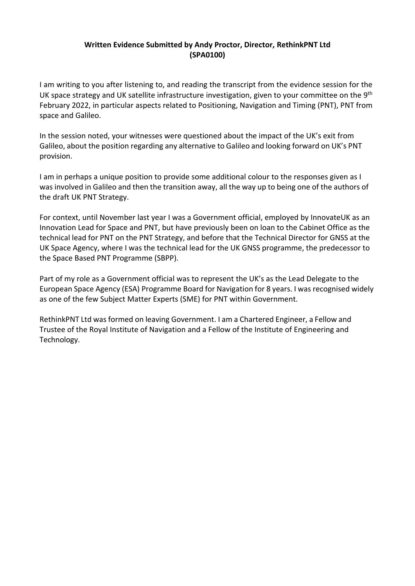## **Written Evidence Submitted by Andy Proctor, Director, RethinkPNT Ltd (SPA0100)**

I am writing to you after listening to, and reading the transcript from the evidence session for the UK space strategy and UK satellite infrastructure investigation, given to your committee on the 9<sup>th</sup> February 2022, in particular aspects related to Positioning, Navigation and Timing (PNT), PNT from space and Galileo.

In the session noted, your witnesses were questioned about the impact of the UK's exit from Galileo, about the position regarding any alternative to Galileo and looking forward on UK's PNT provision.

I am in perhaps a unique position to provide some additional colour to the responses given as I was involved in Galileo and then the transition away, all the way up to being one of the authors of the draft UK PNT Strategy.

For context, until November last year I was a Government official, employed by InnovateUK as an Innovation Lead for Space and PNT, but have previously been on loan to the Cabinet Office as the technical lead for PNT on the PNT Strategy, and before that the Technical Director for GNSS at the UK Space Agency, where I was the technical lead for the UK GNSS programme, the predecessor to the Space Based PNT Programme (SBPP).

Part of my role as a Government official was to represent the UK's as the Lead Delegate to the European Space Agency (ESA) Programme Board for Navigation for 8 years. I was recognised widely as one of the few Subject Matter Experts (SME) for PNT within Government.

RethinkPNT Ltd was formed on leaving Government. I am a Chartered Engineer, a Fellow and Trustee of the Royal Institute of Navigation and a Fellow of the Institute of Engineering and Technology.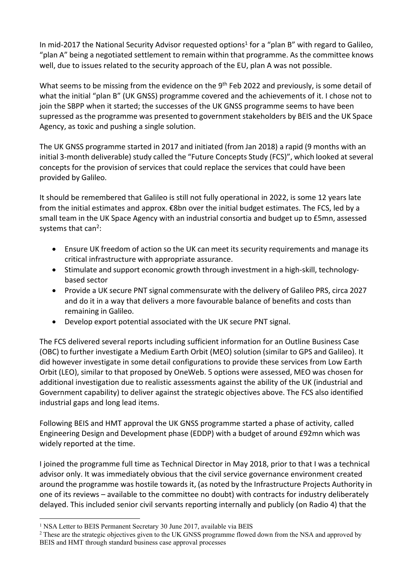In mid-2017 the National Security Advisor requested options<sup>1</sup> for a "plan B" with regard to Galileo, "plan A" being a negotiated settlement to remain within that programme. As the committee knows well, due to issues related to the security approach of the EU, plan A was not possible.

What seems to be missing from the evidence on the 9<sup>th</sup> Feb 2022 and previously, is some detail of what the initial "plan B" (UK GNSS) programme covered and the achievements of it. I chose not to join the SBPP when it started; the successes of the UK GNSS programme seems to have been supressed as the programme was presented to government stakeholders by BEIS and the UK Space Agency, as toxic and pushing a single solution.

The UK GNSS programme started in 2017 and initiated (from Jan 2018) a rapid (9 months with an initial 3-month deliverable) study called the "Future Concepts Study (FCS)", which looked at several concepts for the provision of services that could replace the services that could have been provided by Galileo.

It should be remembered that Galileo is still not fully operational in 2022, is some 12 years late from the initial estimates and approx. €8bn over the initial budget estimates. The FCS, led by a small team in the UK Space Agency with an industrial consortia and budget up to £5mn, assessed systems that can<sup>2</sup>:

- Ensure UK freedom of action so the UK can meet its security requirements and manage its critical infrastructure with appropriate assurance.
- Stimulate and support economic growth through investment in a high-skill, technologybased sector
- Provide a UK secure PNT signal commensurate with the delivery of Galileo PRS, circa 2027 and do it in a way that delivers a more favourable balance of benefits and costs than remaining in Galileo.
- Develop export potential associated with the UK secure PNT signal.

The FCS delivered several reports including sufficient information for an Outline Business Case (OBC) to further investigate a Medium Earth Orbit (MEO) solution (similar to GPS and Galileo). It did however investigate in some detail configurations to provide these services from Low Earth Orbit (LEO), similar to that proposed by OneWeb. 5 options were assessed, MEO was chosen for additional investigation due to realistic assessments against the ability of the UK (industrial and Government capability) to deliver against the strategic objectives above. The FCS also identified industrial gaps and long lead items.

Following BEIS and HMT approval the UK GNSS programme started a phase of activity, called Engineering Design and Development phase (EDDP) with a budget of around £92mn which was widely reported at the time.

I joined the programme full time as Technical Director in May 2018, prior to that I was a technical advisor only. It was immediately obvious that the civil service governance environment created around the programme was hostile towards it, (as noted by the Infrastructure Projects Authority in one of its reviews – available to the committee no doubt) with contracts for industry deliberately delayed. This included senior civil servants reporting internally and publicly (on Radio 4) that the

<sup>&</sup>lt;sup>1</sup> NSA Letter to BEIS Permanent Secretary 30 June 2017, available via BEIS

<sup>&</sup>lt;sup>2</sup> These are the strategic objectives given to the UK GNSS programme flowed down from the NSA and approved by BEIS and HMT through standard business case approval processes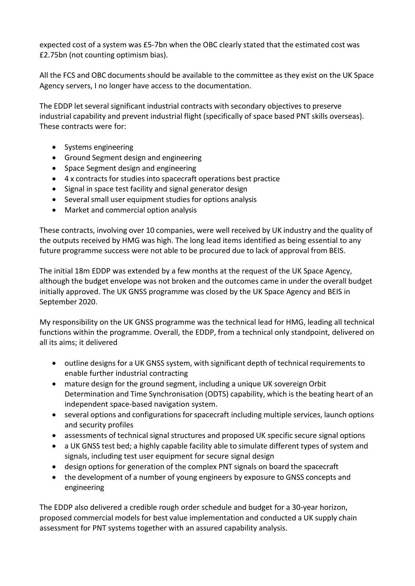expected cost of a system was £5-7bn when the OBC clearly stated that the estimated cost was £2.75bn (not counting optimism bias).

All the FCS and OBC documents should be available to the committee as they exist on the UK Space Agency servers, I no longer have access to the documentation.

The EDDP let several significant industrial contracts with secondary objectives to preserve industrial capability and prevent industrial flight (specifically of space based PNT skills overseas). These contracts were for:

- Systems engineering
- Ground Segment design and engineering
- Space Segment design and engineering
- 4 x contracts for studies into spacecraft operations best practice
- Signal in space test facility and signal generator design
- Several small user equipment studies for options analysis
- Market and commercial option analysis

These contracts, involving over 10 companies, were well received by UK industry and the quality of the outputs received by HMG was high. The long lead items identified as being essential to any future programme success were not able to be procured due to lack of approval from BEIS.

The initial 18m EDDP was extended by a few months at the request of the UK Space Agency, although the budget envelope was not broken and the outcomes came in under the overall budget initially approved. The UK GNSS programme was closed by the UK Space Agency and BEIS in September 2020.

My responsibility on the UK GNSS programme was the technical lead for HMG, leading all technical functions within the programme. Overall, the EDDP, from a technical only standpoint, delivered on all its aims; it delivered

- outline designs for a UK GNSS system, with significant depth of technical requirements to enable further industrial contracting
- mature design for the ground segment, including a unique UK sovereign Orbit Determination and Time Synchronisation (ODTS) capability, which is the beating heart of an independent space-based navigation system.
- several options and configurations forspacecraft including multiple services, launch options and security profiles
- assessments of technical signal structures and proposed UK specific secure signal options
- a UK GNSS test bed; a highly capable facility able to simulate different types of system and signals, including test user equipment for secure signal design
- design options for generation of the complex PNT signals on board the spacecraft
- the development of a number of young engineers by exposure to GNSS concepts and engineering

The EDDP also delivered a credible rough order schedule and budget for a 30-year horizon, proposed commercial models for best value implementation and conducted a UK supply chain assessment for PNT systems together with an assured capability analysis.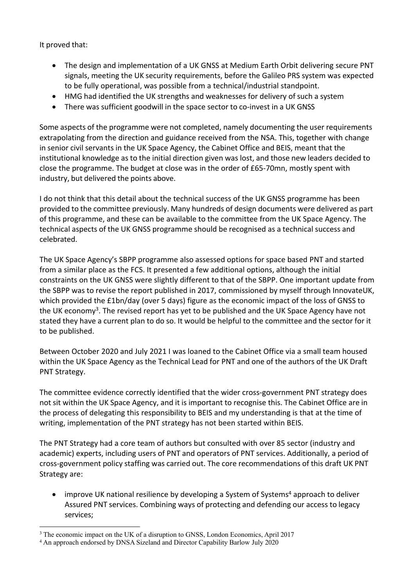It proved that:

- The design and implementation of a UK GNSS at Medium Earth Orbit delivering secure PNT signals, meeting the UK security requirements, before the Galileo PRS system was expected to be fully operational, was possible from a technical/industrial standpoint.
- HMG had identified the UK strengths and weaknesses for delivery of such a system
- There was sufficient goodwill in the space sector to co-invest in a UK GNSS

Some aspects of the programme were not completed, namely documenting the user requirements extrapolating from the direction and guidance received from the NSA. This, together with change in senior civil servants in the UK Space Agency, the Cabinet Office and BEIS, meant that the institutional knowledge as to the initial direction given was lost, and those new leaders decided to close the programme. The budget at close was in the order of £65-70mn, mostly spent with industry, but delivered the points above.

I do not think that this detail about the technical success of the UK GNSS programme has been provided to the committee previously. Many hundreds of design documents were delivered as part of this programme, and these can be available to the committee from the UK Space Agency. The technical aspects of the UK GNSS programme should be recognised as a technical success and celebrated.

The UK Space Agency's SBPP programme also assessed options for space based PNT and started from a similar place as the FCS. It presented a few additional options, although the initial constraints on the UK GNSS were slightly different to that of the SBPP. One important update from the SBPP was to revise the report published in 2017, commissioned by myself through InnovateUK, which provided the £1bn/day (over 5 days) figure as the economic impact of the loss of GNSS to the UK economy<sup>3</sup>. The revised report has yet to be published and the UK Space Agency have not stated they have a current plan to do so. It would be helpful to the committee and the sector for it to be published.

Between October 2020 and July 2021 I was loaned to the Cabinet Office via a small team housed within the UK Space Agency as the Technical Lead for PNT and one of the authors of the UK Draft PNT Strategy.

The committee evidence correctly identified that the wider cross-government PNT strategy does not sit within the UK Space Agency, and it is important to recognise this. The Cabinet Office are in the process of delegating this responsibility to BEIS and my understanding is that at the time of writing, implementation of the PNT strategy has not been started within BEIS.

The PNT Strategy had a core team of authors but consulted with over 85 sector (industry and academic) experts, including users of PNT and operators of PNT services. Additionally, a period of cross-government policy staffing was carried out. The core recommendations of this draft UK PNT Strategy are:

• improve UK national resilience by developing a System of Systems<sup>4</sup> approach to deliver Assured PNT services. Combining ways of protecting and defending our access to legacy services;

<sup>&</sup>lt;sup>3</sup> The economic impact on the UK of a disruption to GNSS, London Economics, April 2017

<sup>4</sup> An approach endorsed by DNSA Sizeland and Director Capability Barlow July 2020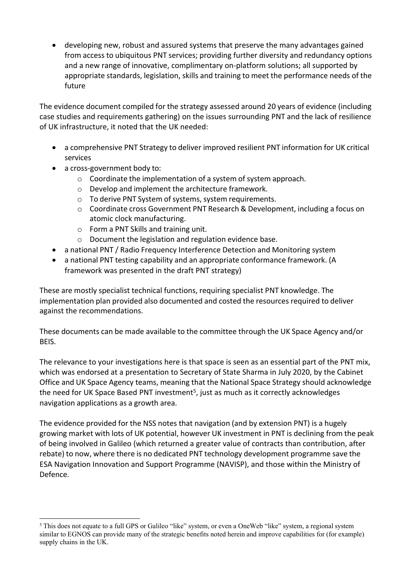developing new, robust and assured systems that preserve the many advantages gained from access to ubiquitous PNT services; providing further diversity and redundancy options and a new range of innovative, complimentary on-platform solutions; all supported by appropriate standards, legislation, skills and training to meet the performance needs of the future

The evidence document compiled for the strategy assessed around 20 years of evidence (including case studies and requirements gathering) on the issues surrounding PNT and the lack of resilience of UK infrastructure, it noted that the UK needed:

- a comprehensive PNT Strategy to deliver improved resilient PNT information for UK critical services
- a cross-government body to:
	- o Coordinate the implementation of a system of system approach.
	- o Develop and implement the architecture framework.
	- $\circ$  To derive PNT System of systems, system requirements.
	- o Coordinate cross Government PNT Research & Development, including a focus on atomic clock manufacturing.
	- o Form a PNT Skills and training unit.
	- o Document the legislation and regulation evidence base.
- a national PNT / Radio Frequency Interference Detection and Monitoring system
- a national PNT testing capability and an appropriate conformance framework. (A framework was presented in the draft PNT strategy)

These are mostly specialist technical functions, requiring specialist PNT knowledge. The implementation plan provided also documented and costed the resources required to deliver against the recommendations.

These documents can be made available to the committee through the UK Space Agency and/or BEIS.

The relevance to your investigations here is that space is seen as an essential part of the PNT mix, which was endorsed at a presentation to Secretary of State Sharma in July 2020, by the Cabinet Office and UK Space Agency teams, meaning that the National Space Strategy should acknowledge the need for UK Space Based PNT investment<sup>5</sup>, just as much as it correctly acknowledges navigation applications as a growth area.

The evidence provided for the NSS notes that navigation (and by extension PNT) is a hugely growing market with lots of UK potential, however UK investment in PNT is declining from the peak of being involved in Galileo (which returned a greater value of contracts than contribution, after rebate) to now, where there is no dedicated PNT technology development programme save the ESA Navigation Innovation and Support Programme (NAVISP), and those within the Ministry of Defence.

<sup>5</sup> This does not equate to a full GPS or Galileo "like" system, or even a OneWeb "like" system, a regional system similar to EGNOS can provide many of the strategic benefits noted herein and improve capabilities for (for example) supply chains in the UK.